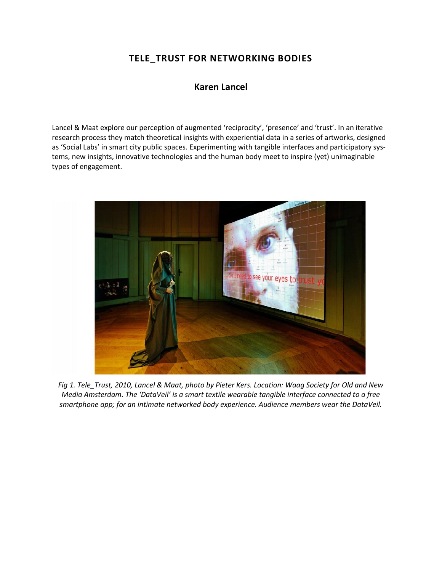# **TELE\_TRUST FOR NETWORKING BODIES**

# **[Karen Lancel](http://isea2011.sabanciuniv.edu/mrs.html)**

Lancel & Maat explore our perception of augmented 'reciprocity', 'presence' and 'trust'. In an iterative research process they match theoretical insights with experiential data in a series of artworks, designed as 'Social Labs' in smart city public spaces. Experimenting with tangible interfaces and participatory systems, new insights, innovative technologies and the human body meet to inspire (yet) unimaginable types of engagement.



*Fig 1. Tele\_Trust, 2010, Lancel & Maat, photo by Pieter Kers. Location: Waag Society for Old and New Media Amsterdam. The 'DataVeil' is a smart textile wearable tangible interface connected to a free smartphone app; for an intimate networked body experience. Audience members wear the DataVeil.*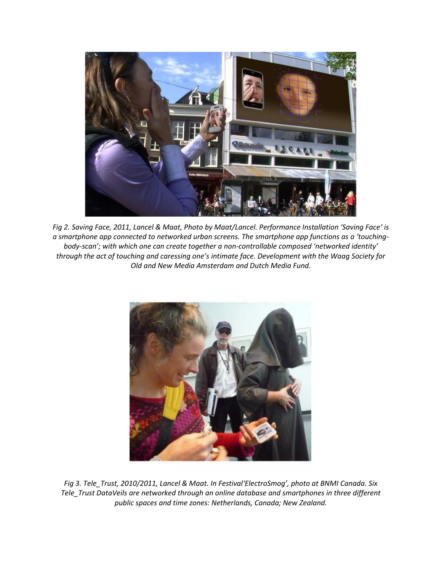

*Fig 2. Saving Face, 2011, Lancel & Maat, Photo by Maat/Lancel. Performance Installation 'Saving Face' is a smartphone app connected to networked urban screens. The smartphone app functions as a 'touchingbody-scan'; with which one can create together a non-controllable composed 'networked identity' through the act of touching and caressing one's intimate face. Development with the Waag Society for Old and New Media Amsterdam and Dutch Media Fund.* 



*Fig 3. Tele\_Trust, 2010/2011, Lancel & Maat. In Festival'ElectroSmog', photo at BNMI Canada. Six Tele\_Trust DataVeils are networked through an online database and smartphones in three different public spaces and time zones: Netherlands, Canada; New Zealand.*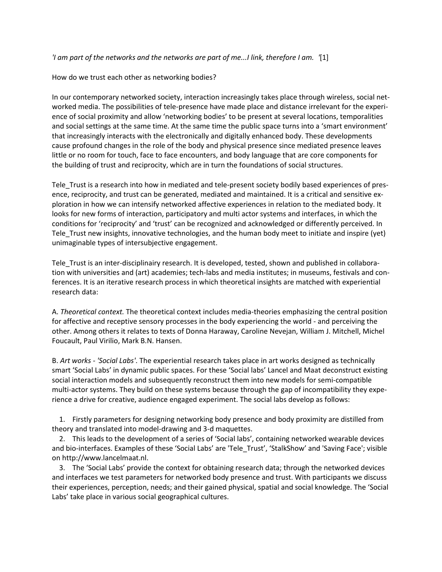# *'I am part of the networks and the networks are part of me...I link, therefore I am. '*[1]

# How do we trust each other as networking bodies?

In our contemporary networked society, interaction increasingly takes place through wireless, social networked media. The possibilities of tele-presence have made place and distance irrelevant for the experience of social proximity and allow 'networking bodies' to be present at several locations, temporalities and social settings at the same time. At the same time the public space turns into a 'smart environment' that increasingly interacts with the electronically and digitally enhanced body. These developments cause profound changes in the role of the body and physical presence since mediated presence leaves little or no room for touch, face to face encounters, and body language that are core components for the building of trust and reciprocity, which are in turn the foundations of social structures.

Tele\_Trust is a research into how in mediated and tele-present society bodily based experiences of presence, reciprocity, and trust can be generated, mediated and maintained. It is a critical and sensitive exploration in how we can intensify networked affective experiences in relation to the mediated body. It looks for new forms of interaction, participatory and multi actor systems and interfaces, in which the conditions for 'reciprocity' and 'trust' can be recognized and acknowledged or differently perceived. In Tele Trust new insights, innovative technologies, and the human body meet to initiate and inspire (yet) unimaginable types of intersubjective engagement.

Tele\_Trust is an inter-disciplinairy research. It is developed, tested, shown and published in collaboration with universities and (art) academies; tech-labs and media institutes; in museums, festivals and conferences. It is an iterative research process in which theoretical insights are matched with experiential research data:

A. *Theoretical context.* The theoretical context includes media-theories emphasizing the central position for affective and receptive sensory processes in the body experiencing the world - and perceiving the other. Among others it relates to texts of Donna Haraway, Caroline Nevejan, William J. Mitchell, Michel Foucault, Paul Virilio, Mark B.N. Hansen.

B. *Art works - 'Social Labs'*. The experiential research takes place in art works designed as technically smart 'Social Labs' in dynamic public spaces. For these 'Social labs' Lancel and Maat deconstruct existing social interaction models and subsequently reconstruct them into new models for semi-compatible multi-actor systems. They build on these systems because through the gap of incompatibility they experience a drive for creative, audience engaged experiment. The social labs develop as follows:

 1. Firstly parameters for designing networking body presence and body proximity are distilled from theory and translated into model-drawing and 3-d maquettes.

 2. This leads to the development of a series of 'Social labs', containing networked wearable devices and bio-interfaces. Examples of these 'Social Labs' are 'Tele\_Trust', 'StalkShow' and 'Saving Face'; visible on http://www.lancelmaat.nl.

 3. The 'Social Labs' provide the context for obtaining research data; through the networked devices and interfaces we test parameters for networked body presence and trust. With participants we discuss their experiences, perception, needs; and their gained physical, spatial and social knowledge. The 'Social Labs' take place in various social geographical cultures.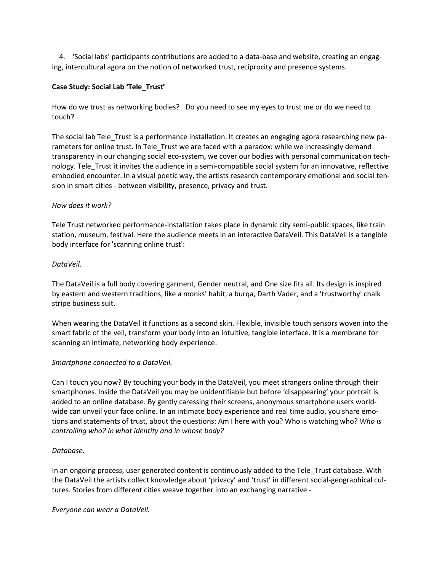4. 'Social labs' participants contributions are added to a data-base and website, creating an engaging, intercultural agora on the notion of networked trust, reciprocity and presence systems.

# **Case Study: Social Lab 'Tele\_Trust'**

How do we trust as networking bodies? Do you need to see my eyes to trust me or do we need to touch?

The social lab Tele\_Trust is a performance installation. It creates an engaging agora researching new parameters for online trust. In Tele Trust we are faced with a paradox: while we increasingly demand transparency in our changing social eco-system, we cover our bodies with personal communication technology. Tele\_Trust it invites the audience in a semi-compatible social system for an innovative, reflective embodied encounter. In a visual poetic way, the artists research contemporary emotional and social tension in smart cities - between visibility, presence, privacy and trust.

#### *How does it work?*

Tele Trust networked performance-installation takes place in dynamic city semi-public spaces, like train station, museum, festival. Here the audience meets in an interactive DataVeil. This DataVeil is a tangible body interface for 'scanning online trust':

# *DataVeil.*

The DataVeil is a full body covering garment, Gender neutral, and One size fits all. Its design is inspired by eastern and western traditions, like a monks' habit, a burqa, Darth Vader, and a 'trustworthy' chalk stripe business suit.

When wearing the DataVeil it functions as a second skin. Flexible, invisible touch sensors woven into the smart fabric of the veil, transform your body into an intuitive, tangible interface. It is a membrane for scanning an intimate, networking body experience:

# *Smartphone connected to a DataVeil.*

Can I touch you now? By touching your body in the DataVeil, you meet strangers online through their smartphones. Inside the DataVeil you may be unidentifiable but before 'disappearing' your portrait is added to an online database. By gently caressing their screens, anonymous smartphone users worldwide can unveil your face online. In an intimate body experience and real time audio, you share emotions and statements of trust, about the questions: Am I here with you? Who is watching who? *Who is controlling who? In what identity and in whose body?*

# *Database.*

In an ongoing process, user generated content is continuously added to the Tele\_Trust database. With the DataVeil the artists collect knowledge about 'privacy' and 'trust' in different social-geographical cultures. Stories from different cities weave together into an exchanging narrative -

*Everyone can wear a DataVeil.*